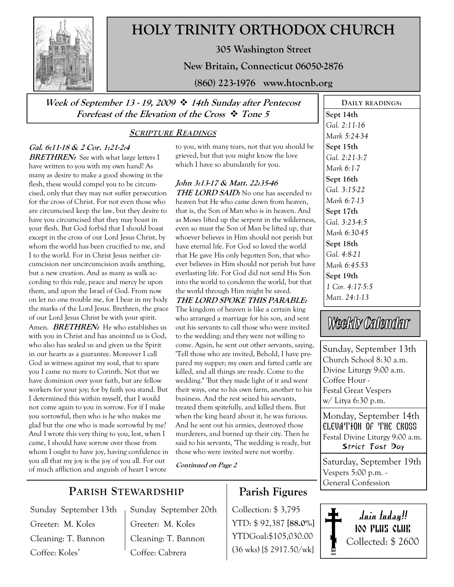

# HOLY TRINITY ORTHODOX CHURCH

305 Washington Street

New Britain, Connecticut 06050-2876

(860) 223-1976 www.htocnb.org

Week of September 13 - 19, 2009  $\cdot \cdot$  14th Sunday after Pentecost Forefeast of the Elevation of the Cross  $\cdot$  Tone 5

### SCRIPTURE READINGS

### Gal. 6:11-18 & 2 Cor. 1:21-2:4

**BRETHREN:** See with what large letters I have written to you with my own hand! As many as desire to make a good showing in the flesh, these would compel you to be circumcised, only that they may not suffer persecution for the cross of Christ. For not even those who are circumcised keep the law, but they desire to have you circumcised that they may boast in your flesh. But God forbid that I should boast except in the cross of our Lord Jesus Christ, by whom the world has been crucified to me, and I to the world. For in Christ Jesus neither circumcision nor uncircumcision avails anything, but a new creation. And as many as walk according to this rule, peace and mercy be upon them, and upon the Israel of God. From now on let no one trouble me, for I bear in my body the marks of the Lord Jesus. Brethren, the grace of our Lord Jesus Christ be with your spirit. Amen. *BRETHREN:* He who establishes us with you in Christ and has anointed us is God, who also has sealed us and given us the Spirit in our hearts as a guarantee. Moreover I call God as witness against my soul, that to spare you I came no more to Corinth. Not that we have dominion over your faith, but are fellow workers for your joy; for by faith you stand. But I determined this within myself, that I would not come again to you in sorrow. For if I make you sorrowful, then who is he who makes me glad but the one who is made sorrowful by me? And I wrote this very thing to you, lest, when I came, I should have sorrow over those from whom I ought to have joy, having confidence in you all that my joy is the joy of you all. For out of much affliction and anguish of heart I wrote

to you, with many tears, not that you should be grieved, but that you might know the love which I have so abundantly for you.

### John 3:13-17 & Matt. 22:35-46

THE LORD SAID: No one has ascended to heaven but He who came down from heaven, that is, the Son of Man who is in heaven. And as Moses lifted up the serpent in the wilderness, even so must the Son of Man be lifted up, that whoever believes in Him should not perish but have eternal life. For God so loved the world that He gave His only begotten Son, that whoever believes in Him should not perish but have everlasting life. For God did not send His Son into the world to condemn the world, but that the world through Him might be saved.

THE LORD SPOKE THIS PARABLE: The kingdom of heaven is like a certain king who arranged a marriage for his son, and sent out his servants to call those who were invited to the wedding; and they were not willing to come. Again, he sent out other servants, saying, 'Tell those who are invited, Behold, I have prepared my supper; my oxen and fatted cattle are killed, and all things are ready. Come to the wedding." 'But they made light of it and went their ways, one to his own farm, another to his business. And the rest seized his servants, treated them spitefully, and killed them. But when the king heard about it, he was furious. And he sent out his armies, destroyed those murderers, and burned up their city. Then he said to his servants, 'The wedding is ready, but those who were invited were not worthy.

Continued on Page 2

### Parish Figures

Collection: \$ 3,795 YTD: \$ 92,387 [88.0%] YTDGoal:\$105,030.00 (36 wks) [\$ 2917.50/wk]

DAILY READINGS: Sept 14th Gal. 2:11-16 Mark 5:24-34 Sept 15th Gal. 2:21-3:7 Mark 6:1-7 Sept 16th Gal. 3:15-22 Mark 6:7-13 Sept 17th Gal. 3:23-4:5 Mark 6:30-45 Sept 18th Gal. 4:8-21 Mark 6:45-53 Sept 19th 1 Cor. 4:17-5:5 Matt. 24:1-13

# Weekly Calendar

Sunday, September 13th Church School 8:30 a.m. Divine Liturgy 9:00 a.m. Coffee Hour - Festal Great Vespers w/ Litya 6:30 p.m.

Monday, September 14th ELEVATION OF THE CROSS Festal Divine Liturgy 9:00 a.m. Strict Fast Day

Saturday, September 19th Vespers 5:00 p.m. - General Confession



## PARISH STEWARDSHIP

Sunday September 13th Greeter: M. Koles Cleaning: T. Bannon Coffee: Koles'

Sunday September 20th Greeter: M. Koles Cleaning: T. Bannon Coffee: Cabrera